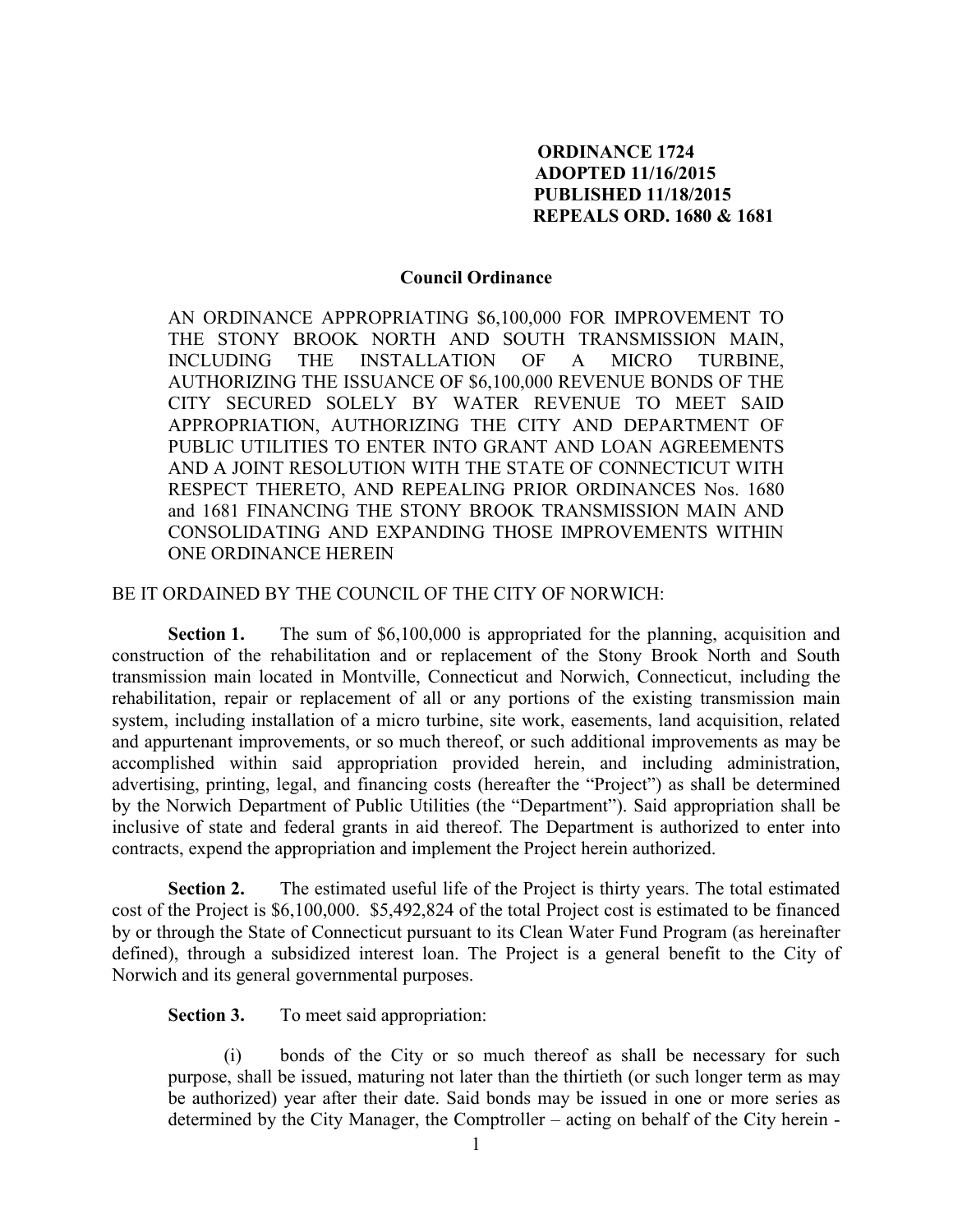## **ORDINANCE 1724 ADOPTED 11/16/2015 PUBLISHED 11/18/2015 REPEALS ORD. 1680 & 1681**

## **Council Ordinance**

AN ORDINANCE APPROPRIATING \$6,100,000 FOR IMPROVEMENT TO THE STONY BROOK NORTH AND SOUTH TRANSMISSION MAIN, INCLUDING THE INSTALLATION OF A MICRO TURBINE, AUTHORIZING THE ISSUANCE OF \$6,100,000 REVENUE BONDS OF THE CITY SECURED SOLELY BY WATER REVENUE TO MEET SAID APPROPRIATION, AUTHORIZING THE CITY AND DEPARTMENT OF PUBLIC UTILITIES TO ENTER INTO GRANT AND LOAN AGREEMENTS AND A JOINT RESOLUTION WITH THE STATE OF CONNECTICUT WITH RESPECT THERETO, AND REPEALING PRIOR ORDINANCES Nos. 1680 and 1681 FINANCING THE STONY BROOK TRANSMISSION MAIN AND CONSOLIDATING AND EXPANDING THOSE IMPROVEMENTS WITHIN ONE ORDINANCE HEREIN

## BE IT ORDAINED BY THE COUNCIL OF THE CITY OF NORWICH:

**Section 1.** The sum of \$6,100,000 is appropriated for the planning, acquisition and construction of the rehabilitation and or replacement of the Stony Brook North and South transmission main located in Montville, Connecticut and Norwich, Connecticut, including the rehabilitation, repair or replacement of all or any portions of the existing transmission main system, including installation of a micro turbine, site work, easements, land acquisition, related and appurtenant improvements, or so much thereof, or such additional improvements as may be accomplished within said appropriation provided herein, and including administration, advertising, printing, legal, and financing costs (hereafter the "Project") as shall be determined by the Norwich Department of Public Utilities (the "Department"). Said appropriation shall be inclusive of state and federal grants in aid thereof. The Department is authorized to enter into contracts, expend the appropriation and implement the Project herein authorized.

**Section 2.** The estimated useful life of the Project is thirty years. The total estimated cost of the Project is \$6,100,000. \$5,492,824 of the total Project cost is estimated to be financed by or through the State of Connecticut pursuant to its Clean Water Fund Program (as hereinafter defined), through a subsidized interest loan. The Project is a general benefit to the City of Norwich and its general governmental purposes.

**Section 3.** To meet said appropriation:

(i) bonds of the City or so much thereof as shall be necessary for such purpose, shall be issued, maturing not later than the thirtieth (or such longer term as may be authorized) year after their date. Said bonds may be issued in one or more series as determined by the City Manager, the Comptroller – acting on behalf of the City herein -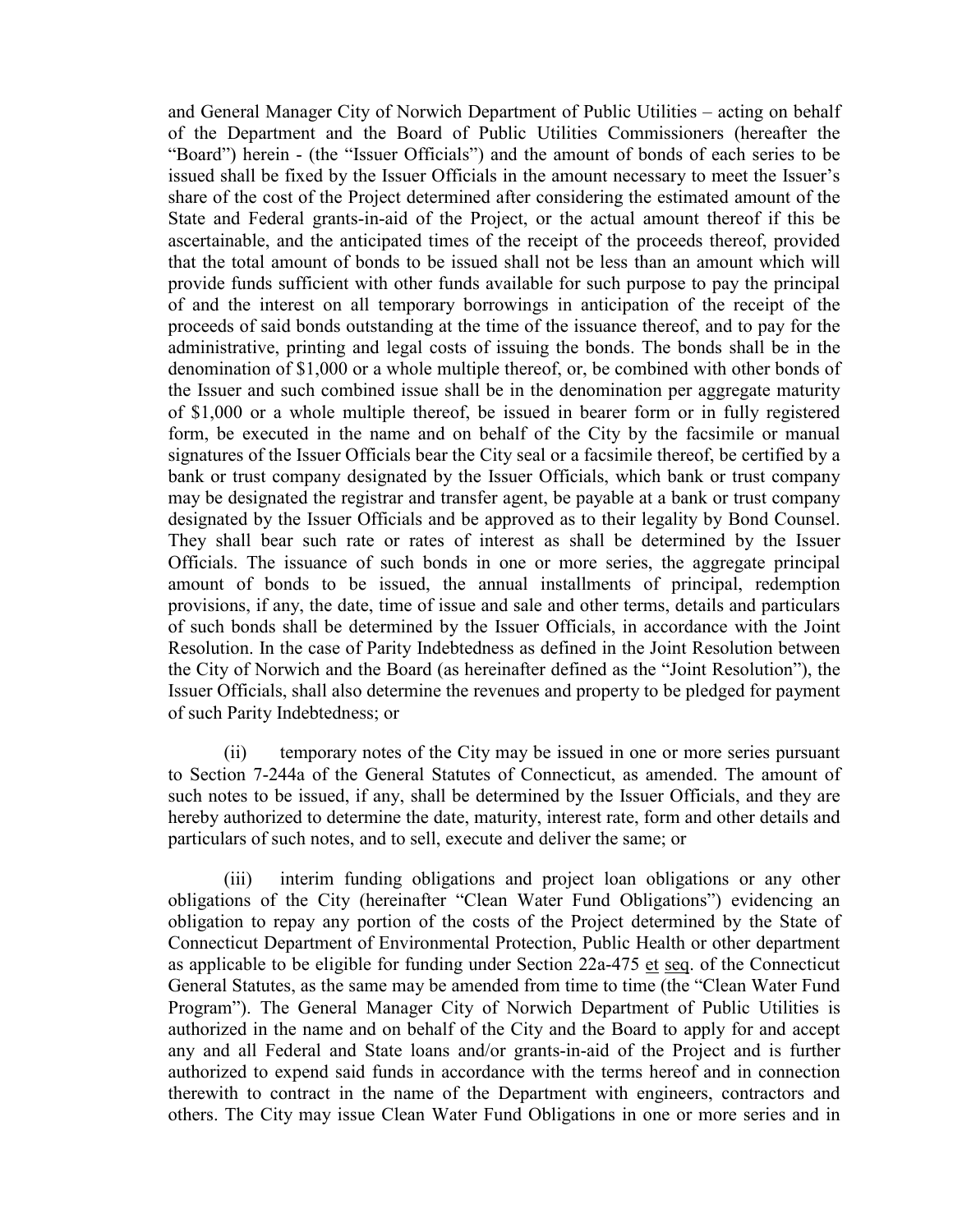and General Manager City of Norwich Department of Public Utilities – acting on behalf of the Department and the Board of Public Utilities Commissioners (hereafter the "Board") herein - (the "Issuer Officials") and the amount of bonds of each series to be issued shall be fixed by the Issuer Officials in the amount necessary to meet the Issuer's share of the cost of the Project determined after considering the estimated amount of the State and Federal grants-in-aid of the Project, or the actual amount thereof if this be ascertainable, and the anticipated times of the receipt of the proceeds thereof, provided that the total amount of bonds to be issued shall not be less than an amount which will provide funds sufficient with other funds available for such purpose to pay the principal of and the interest on all temporary borrowings in anticipation of the receipt of the proceeds of said bonds outstanding at the time of the issuance thereof, and to pay for the administrative, printing and legal costs of issuing the bonds. The bonds shall be in the denomination of \$1,000 or a whole multiple thereof, or, be combined with other bonds of the Issuer and such combined issue shall be in the denomination per aggregate maturity of \$1,000 or a whole multiple thereof, be issued in bearer form or in fully registered form, be executed in the name and on behalf of the City by the facsimile or manual signatures of the Issuer Officials bear the City seal or a facsimile thereof, be certified by a bank or trust company designated by the Issuer Officials, which bank or trust company may be designated the registrar and transfer agent, be payable at a bank or trust company designated by the Issuer Officials and be approved as to their legality by Bond Counsel. They shall bear such rate or rates of interest as shall be determined by the Issuer Officials. The issuance of such bonds in one or more series, the aggregate principal amount of bonds to be issued, the annual installments of principal, redemption provisions, if any, the date, time of issue and sale and other terms, details and particulars of such bonds shall be determined by the Issuer Officials, in accordance with the Joint Resolution. In the case of Parity Indebtedness as defined in the Joint Resolution between the City of Norwich and the Board (as hereinafter defined as the "Joint Resolution"), the Issuer Officials, shall also determine the revenues and property to be pledged for payment of such Parity Indebtedness; or

(ii) temporary notes of the City may be issued in one or more series pursuant to Section 7-244a of the General Statutes of Connecticut, as amended. The amount of such notes to be issued, if any, shall be determined by the Issuer Officials, and they are hereby authorized to determine the date, maturity, interest rate, form and other details and particulars of such notes, and to sell, execute and deliver the same; or

(iii) interim funding obligations and project loan obligations or any other obligations of the City (hereinafter "Clean Water Fund Obligations") evidencing an obligation to repay any portion of the costs of the Project determined by the State of Connecticut Department of Environmental Protection, Public Health or other department as applicable to be eligible for funding under Section 22a-475 et seq. of the Connecticut General Statutes, as the same may be amended from time to time (the "Clean Water Fund Program"). The General Manager City of Norwich Department of Public Utilities is authorized in the name and on behalf of the City and the Board to apply for and accept any and all Federal and State loans and/or grants-in-aid of the Project and is further authorized to expend said funds in accordance with the terms hereof and in connection therewith to contract in the name of the Department with engineers, contractors and others. The City may issue Clean Water Fund Obligations in one or more series and in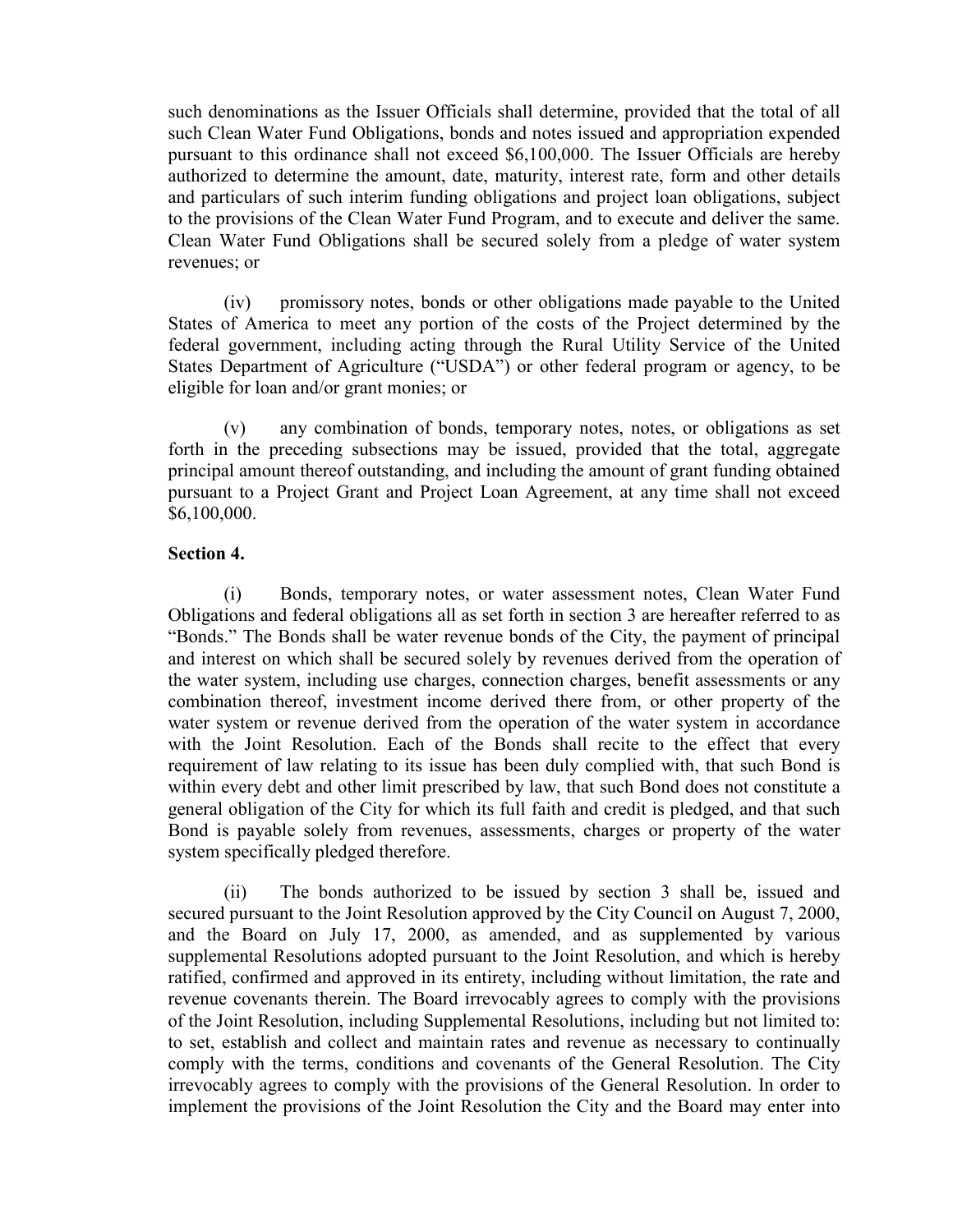such denominations as the Issuer Officials shall determine, provided that the total of all such Clean Water Fund Obligations, bonds and notes issued and appropriation expended pursuant to this ordinance shall not exceed \$6,100,000. The Issuer Officials are hereby authorized to determine the amount, date, maturity, interest rate, form and other details and particulars of such interim funding obligations and project loan obligations, subject to the provisions of the Clean Water Fund Program, and to execute and deliver the same. Clean Water Fund Obligations shall be secured solely from a pledge of water system revenues; or

(iv) promissory notes, bonds or other obligations made payable to the United States of America to meet any portion of the costs of the Project determined by the federal government, including acting through the Rural Utility Service of the United States Department of Agriculture ("USDA") or other federal program or agency, to be eligible for loan and/or grant monies; or

(v) any combination of bonds, temporary notes, notes, or obligations as set forth in the preceding subsections may be issued, provided that the total, aggregate principal amount thereof outstanding, and including the amount of grant funding obtained pursuant to a Project Grant and Project Loan Agreement, at any time shall not exceed \$6,100,000.

## **Section 4.**

(i) Bonds, temporary notes, or water assessment notes, Clean Water Fund Obligations and federal obligations all as set forth in section 3 are hereafter referred to as "Bonds." The Bonds shall be water revenue bonds of the City, the payment of principal and interest on which shall be secured solely by revenues derived from the operation of the water system, including use charges, connection charges, benefit assessments or any combination thereof, investment income derived there from, or other property of the water system or revenue derived from the operation of the water system in accordance with the Joint Resolution. Each of the Bonds shall recite to the effect that every requirement of law relating to its issue has been duly complied with, that such Bond is within every debt and other limit prescribed by law, that such Bond does not constitute a general obligation of the City for which its full faith and credit is pledged, and that such Bond is payable solely from revenues, assessments, charges or property of the water system specifically pledged therefore.

(ii) The bonds authorized to be issued by section 3 shall be, issued and secured pursuant to the Joint Resolution approved by the City Council on August 7, 2000, and the Board on July 17, 2000, as amended, and as supplemented by various supplemental Resolutions adopted pursuant to the Joint Resolution, and which is hereby ratified, confirmed and approved in its entirety, including without limitation, the rate and revenue covenants therein. The Board irrevocably agrees to comply with the provisions of the Joint Resolution, including Supplemental Resolutions, including but not limited to: to set, establish and collect and maintain rates and revenue as necessary to continually comply with the terms, conditions and covenants of the General Resolution. The City irrevocably agrees to comply with the provisions of the General Resolution. In order to implement the provisions of the Joint Resolution the City and the Board may enter into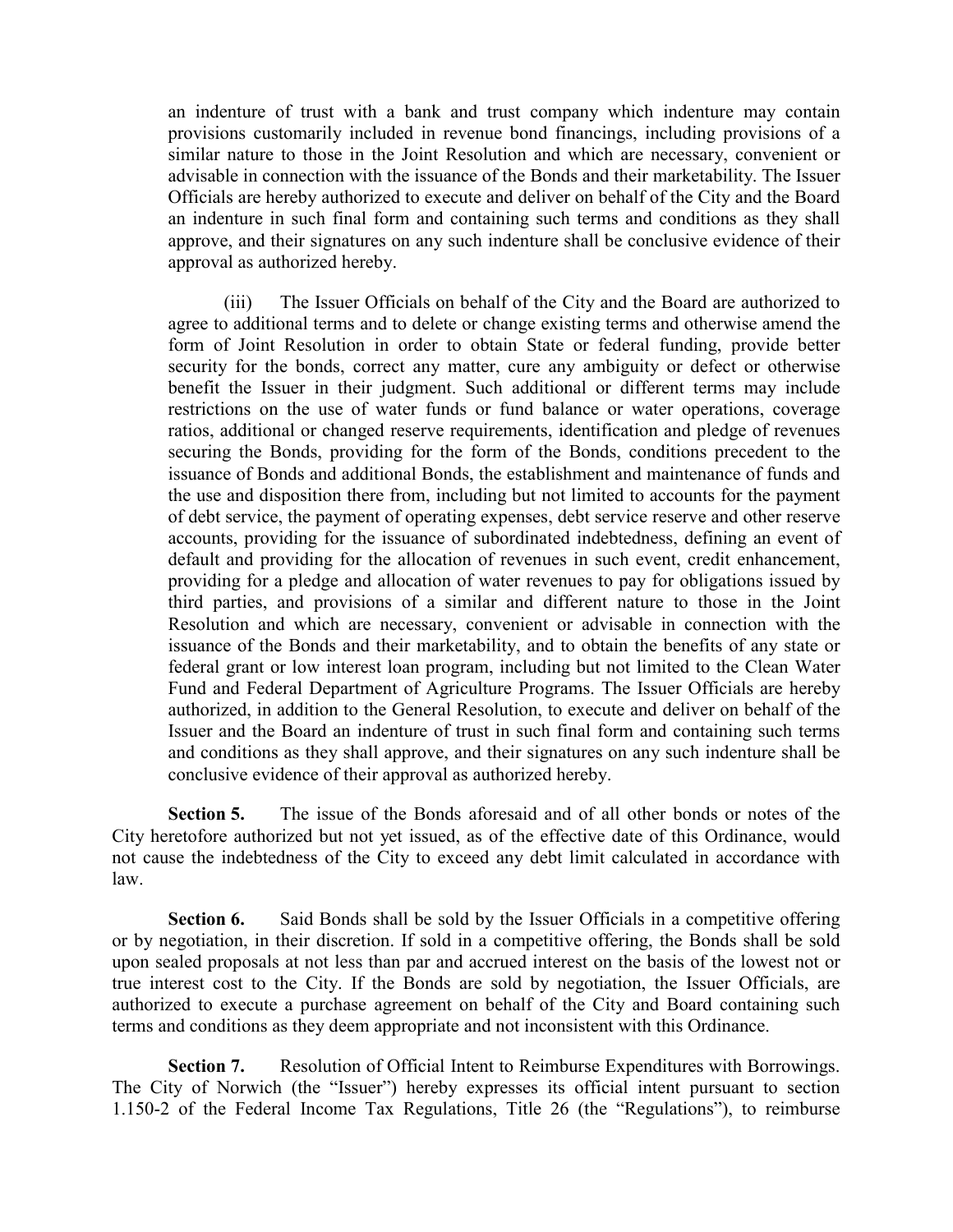an indenture of trust with a bank and trust company which indenture may contain provisions customarily included in revenue bond financings, including provisions of a similar nature to those in the Joint Resolution and which are necessary, convenient or advisable in connection with the issuance of the Bonds and their marketability. The Issuer Officials are hereby authorized to execute and deliver on behalf of the City and the Board an indenture in such final form and containing such terms and conditions as they shall approve, and their signatures on any such indenture shall be conclusive evidence of their approval as authorized hereby.

(iii) The Issuer Officials on behalf of the City and the Board are authorized to agree to additional terms and to delete or change existing terms and otherwise amend the form of Joint Resolution in order to obtain State or federal funding, provide better security for the bonds, correct any matter, cure any ambiguity or defect or otherwise benefit the Issuer in their judgment. Such additional or different terms may include restrictions on the use of water funds or fund balance or water operations, coverage ratios, additional or changed reserve requirements, identification and pledge of revenues securing the Bonds, providing for the form of the Bonds, conditions precedent to the issuance of Bonds and additional Bonds, the establishment and maintenance of funds and the use and disposition there from, including but not limited to accounts for the payment of debt service, the payment of operating expenses, debt service reserve and other reserve accounts, providing for the issuance of subordinated indebtedness, defining an event of default and providing for the allocation of revenues in such event, credit enhancement, providing for a pledge and allocation of water revenues to pay for obligations issued by third parties, and provisions of a similar and different nature to those in the Joint Resolution and which are necessary, convenient or advisable in connection with the issuance of the Bonds and their marketability, and to obtain the benefits of any state or federal grant or low interest loan program, including but not limited to the Clean Water Fund and Federal Department of Agriculture Programs. The Issuer Officials are hereby authorized, in addition to the General Resolution, to execute and deliver on behalf of the Issuer and the Board an indenture of trust in such final form and containing such terms and conditions as they shall approve, and their signatures on any such indenture shall be conclusive evidence of their approval as authorized hereby.

**Section 5.** The issue of the Bonds aforesaid and of all other bonds or notes of the City heretofore authorized but not yet issued, as of the effective date of this Ordinance, would not cause the indebtedness of the City to exceed any debt limit calculated in accordance with law.

**Section 6.** Said Bonds shall be sold by the Issuer Officials in a competitive offering or by negotiation, in their discretion. If sold in a competitive offering, the Bonds shall be sold upon sealed proposals at not less than par and accrued interest on the basis of the lowest not or true interest cost to the City. If the Bonds are sold by negotiation, the Issuer Officials, are authorized to execute a purchase agreement on behalf of the City and Board containing such terms and conditions as they deem appropriate and not inconsistent with this Ordinance.

**Section 7.** Resolution of Official Intent to Reimburse Expenditures with Borrowings. The City of Norwich (the "Issuer") hereby expresses its official intent pursuant to section 1.150-2 of the Federal Income Tax Regulations, Title 26 (the "Regulations"), to reimburse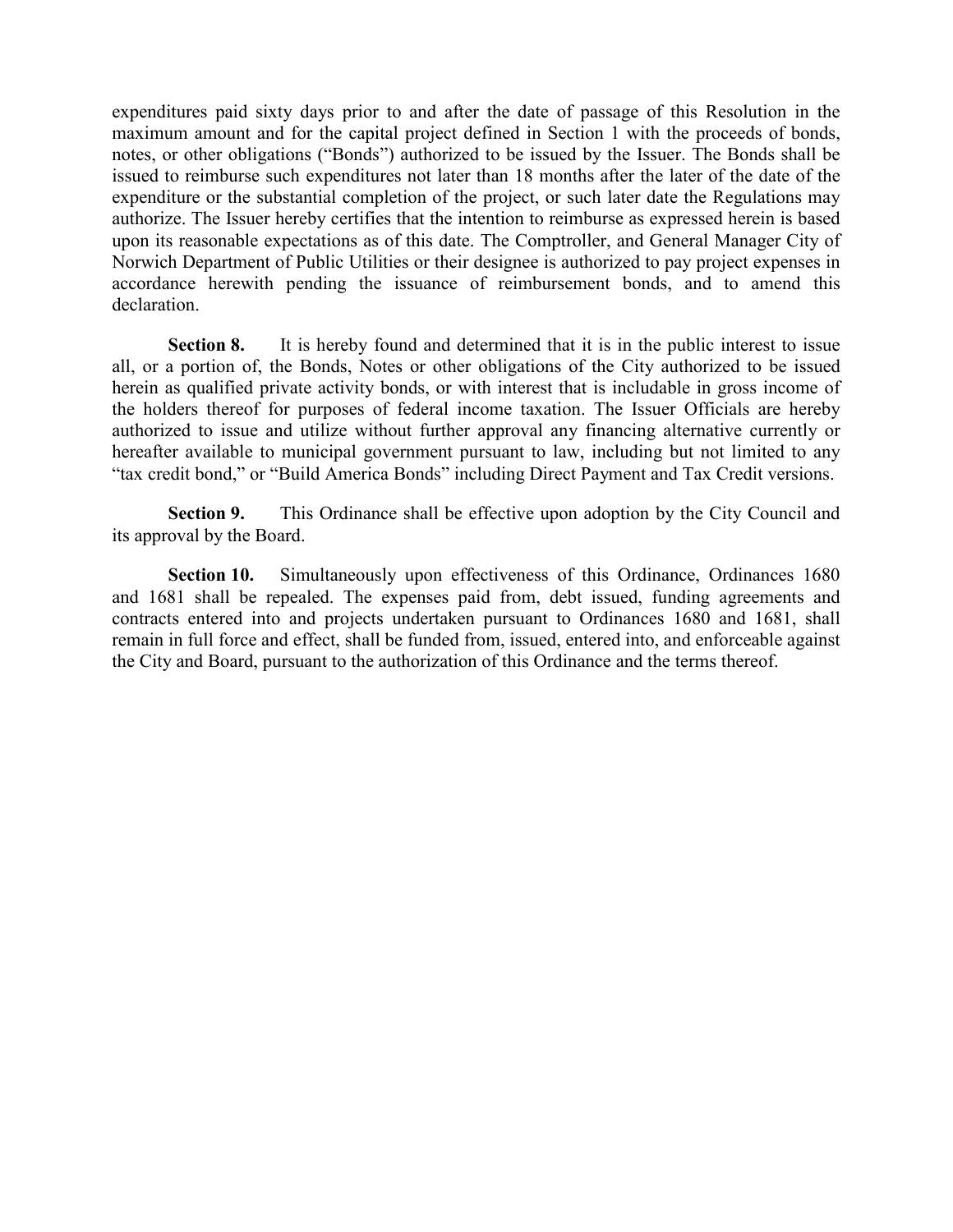expenditures paid sixty days prior to and after the date of passage of this Resolution in the maximum amount and for the capital project defined in Section 1 with the proceeds of bonds, notes, or other obligations ("Bonds") authorized to be issued by the Issuer. The Bonds shall be issued to reimburse such expenditures not later than 18 months after the later of the date of the expenditure or the substantial completion of the project, or such later date the Regulations may authorize. The Issuer hereby certifies that the intention to reimburse as expressed herein is based upon its reasonable expectations as of this date. The Comptroller, and General Manager City of Norwich Department of Public Utilities or their designee is authorized to pay project expenses in accordance herewith pending the issuance of reimbursement bonds, and to amend this declaration.

**Section 8.** It is hereby found and determined that it is in the public interest to issue all, or a portion of, the Bonds, Notes or other obligations of the City authorized to be issued herein as qualified private activity bonds, or with interest that is includable in gross income of the holders thereof for purposes of federal income taxation. The Issuer Officials are hereby authorized to issue and utilize without further approval any financing alternative currently or hereafter available to municipal government pursuant to law, including but not limited to any "tax credit bond," or "Build America Bonds" including Direct Payment and Tax Credit versions.

**Section 9.** This Ordinance shall be effective upon adoption by the City Council and its approval by the Board.

**Section 10.** Simultaneously upon effectiveness of this Ordinance, Ordinances 1680 and 1681 shall be repealed. The expenses paid from, debt issued, funding agreements and contracts entered into and projects undertaken pursuant to Ordinances 1680 and 1681, shall remain in full force and effect, shall be funded from, issued, entered into, and enforceable against the City and Board, pursuant to the authorization of this Ordinance and the terms thereof.